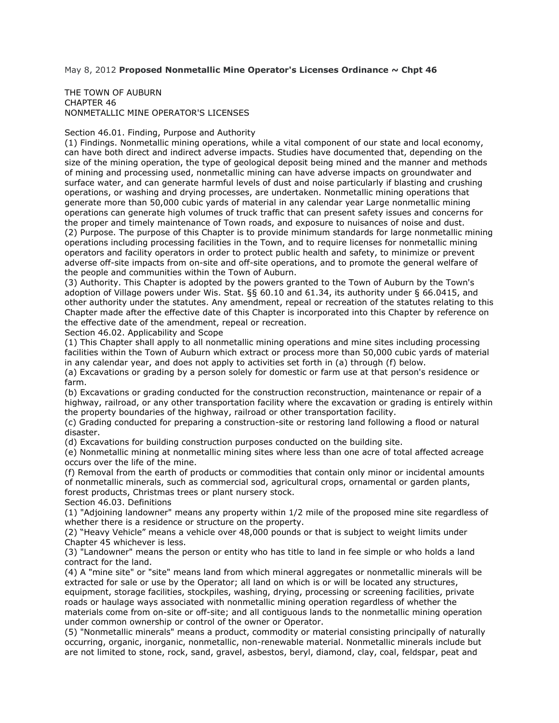# May 8, 2012 **Proposed Nonmetallic Mine Operator's Licenses Ordinance ~ Chpt 46**

#### THE TOWN OF AUBURN CHAPTER 46 NONMETALLIC MINE OPERATOR'S LICENSES

#### Section 46.01. Finding, Purpose and Authority

(1) Findings. Nonmetallic mining operations, while a vital component of our state and local economy, can have both direct and indirect adverse impacts. Studies have documented that, depending on the size of the mining operation, the type of geological deposit being mined and the manner and methods of mining and processing used, nonmetallic mining can have adverse impacts on groundwater and surface water, and can generate harmful levels of dust and noise particularly if blasting and crushing operations, or washing and drying processes, are undertaken. Nonmetallic mining operations that generate more than 50,000 cubic yards of material in any calendar year Large nonmetallic mining operations can generate high volumes of truck traffic that can present safety issues and concerns for the proper and timely maintenance of Town roads, and exposure to nuisances of noise and dust. (2) Purpose. The purpose of this Chapter is to provide minimum standards for large nonmetallic mining operations including processing facilities in the Town, and to require licenses for nonmetallic mining operators and facility operators in order to protect public health and safety, to minimize or prevent adverse off-site impacts from on-site and off-site operations, and to promote the general welfare of the people and communities within the Town of Auburn.

(3) Authority. This Chapter is adopted by the powers granted to the Town of Auburn by the Town's adoption of Village powers under Wis. Stat. §§ 60.10 and 61.34, its authority under § 66.0415, and other authority under the statutes. Any amendment, repeal or recreation of the statutes relating to this Chapter made after the effective date of this Chapter is incorporated into this Chapter by reference on the effective date of the amendment, repeal or recreation.

Section 46.02. Applicability and Scope

(1) This Chapter shall apply to all nonmetallic mining operations and mine sites including processing facilities within the Town of Auburn which extract or process more than 50,000 cubic yards of material in any calendar year, and does not apply to activities set forth in (a) through (f) below.

(a) Excavations or grading by a person solely for domestic or farm use at that person's residence or farm.

(b) Excavations or grading conducted for the construction reconstruction, maintenance or repair of a highway, railroad, or any other transportation facility where the excavation or grading is entirely within the property boundaries of the highway, railroad or other transportation facility.

(c) Grading conducted for preparing a construction-site or restoring land following a flood or natural disaster.

(d) Excavations for building construction purposes conducted on the building site.

(e) Nonmetallic mining at nonmetallic mining sites where less than one acre of total affected acreage occurs over the life of the mine.

(f) Removal from the earth of products or commodities that contain only minor or incidental amounts of nonmetallic minerals, such as commercial sod, agricultural crops, ornamental or garden plants, forest products, Christmas trees or plant nursery stock.

Section 46.03. Definitions

(1) "Adjoining landowner" means any property within 1/2 mile of the proposed mine site regardless of whether there is a residence or structure on the property.

(2) "Heavy Vehicle" means a vehicle over 48,000 pounds or that is subject to weight limits under Chapter 45 whichever is less.

(3) "Landowner" means the person or entity who has title to land in fee simple or who holds a land contract for the land.

(4) A "mine site" or "site" means land from which mineral aggregates or nonmetallic minerals will be extracted for sale or use by the Operator; all land on which is or will be located any structures, equipment, storage facilities, stockpiles, washing, drying, processing or screening facilities, private roads or haulage ways associated with nonmetallic mining operation regardless of whether the materials come from on-site or off-site; and all contiguous lands to the nonmetallic mining operation under common ownership or control of the owner or Operator.

(5) "Nonmetallic minerals" means a product, commodity or material consisting principally of naturally occurring, organic, inorganic, nonmetallic, non-renewable material. Nonmetallic minerals include but are not limited to stone, rock, sand, gravel, asbestos, beryl, diamond, clay, coal, feldspar, peat and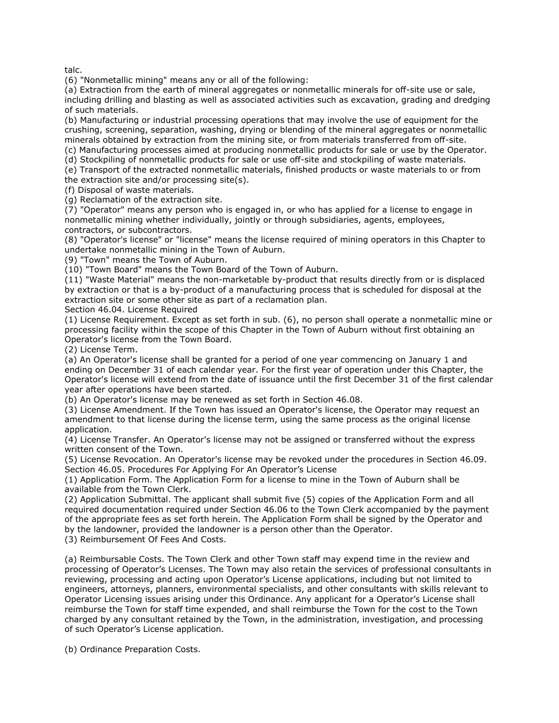talc.

(6) "Nonmetallic mining" means any or all of the following:

(a) Extraction from the earth of mineral aggregates or nonmetallic minerals for off-site use or sale, including drilling and blasting as well as associated activities such as excavation, grading and dredging of such materials.

(b) Manufacturing or industrial processing operations that may involve the use of equipment for the crushing, screening, separation, washing, drying or blending of the mineral aggregates or nonmetallic minerals obtained by extraction from the mining site, or from materials transferred from off-site. (c) Manufacturing processes aimed at producing nonmetallic products for sale or use by the Operator.

(d) Stockpiling of nonmetallic products for sale or use off-site and stockpiling of waste materials.

(e) Transport of the extracted nonmetallic materials, finished products or waste materials to or from the extraction site and/or processing site(s).

(f) Disposal of waste materials.

(g) Reclamation of the extraction site.

(7) "Operator" means any person who is engaged in, or who has applied for a license to engage in nonmetallic mining whether individually, jointly or through subsidiaries, agents, employees, contractors, or subcontractors.

(8) "Operator's license" or "license" means the license required of mining operators in this Chapter to undertake nonmetallic mining in the Town of Auburn.

(9) "Town" means the Town of Auburn.

(10) "Town Board" means the Town Board of the Town of Auburn.

(11) "Waste Material" means the non-marketable by-product that results directly from or is displaced by extraction or that is a by-product of a manufacturing process that is scheduled for disposal at the extraction site or some other site as part of a reclamation plan.

Section 46.04. License Required

(1) License Requirement. Except as set forth in sub. (6), no person shall operate a nonmetallic mine or processing facility within the scope of this Chapter in the Town of Auburn without first obtaining an Operator's license from the Town Board.

(2) License Term.

(a) An Operator's license shall be granted for a period of one year commencing on January 1 and ending on December 31 of each calendar year. For the first year of operation under this Chapter, the Operator's license will extend from the date of issuance until the first December 31 of the first calendar year after operations have been started.

(b) An Operator's license may be renewed as set forth in Section 46.08.

(3) License Amendment. If the Town has issued an Operator's license, the Operator may request an amendment to that license during the license term, using the same process as the original license application.

(4) License Transfer. An Operator's license may not be assigned or transferred without the express written consent of the Town.

(5) License Revocation. An Operator's license may be revoked under the procedures in Section 46.09. Section 46.05. Procedures For Applying For An Operator's License

(1) Application Form. The Application Form for a license to mine in the Town of Auburn shall be available from the Town Clerk.

(2) Application Submittal. The applicant shall submit five (5) copies of the Application Form and all required documentation required under Section 46.06 to the Town Clerk accompanied by the payment of the appropriate fees as set forth herein. The Application Form shall be signed by the Operator and by the landowner, provided the landowner is a person other than the Operator.

(3) Reimbursement Of Fees And Costs.

(a) Reimbursable Costs. The Town Clerk and other Town staff may expend time in the review and processing of Operator's Licenses. The Town may also retain the services of professional consultants in reviewing, processing and acting upon Operator's License applications, including but not limited to engineers, attorneys, planners, environmental specialists, and other consultants with skills relevant to Operator Licensing issues arising under this Ordinance. Any applicant for a Operator's License shall reimburse the Town for staff time expended, and shall reimburse the Town for the cost to the Town charged by any consultant retained by the Town, in the administration, investigation, and processing of such Operator's License application.

(b) Ordinance Preparation Costs.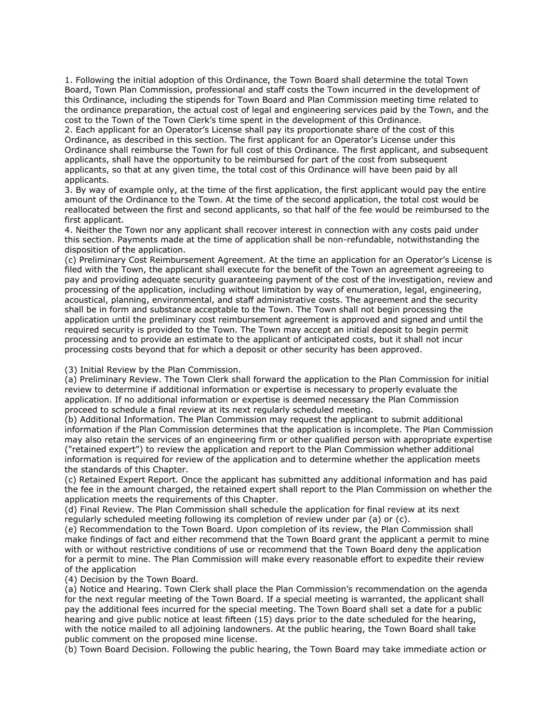1. Following the initial adoption of this Ordinance, the Town Board shall determine the total Town Board, Town Plan Commission, professional and staff costs the Town incurred in the development of this Ordinance, including the stipends for Town Board and Plan Commission meeting time related to the ordinance preparation, the actual cost of legal and engineering services paid by the Town, and the cost to the Town of the Town Clerk's time spent in the development of this Ordinance.

2. Each applicant for an Operator's License shall pay its proportionate share of the cost of this Ordinance, as described in this section. The first applicant for an Operator's License under this Ordinance shall reimburse the Town for full cost of this Ordinance. The first applicant, and subsequent applicants, shall have the opportunity to be reimbursed for part of the cost from subsequent applicants, so that at any given time, the total cost of this Ordinance will have been paid by all applicants.

3. By way of example only, at the time of the first application, the first applicant would pay the entire amount of the Ordinance to the Town. At the time of the second application, the total cost would be reallocated between the first and second applicants, so that half of the fee would be reimbursed to the first applicant.

4. Neither the Town nor any applicant shall recover interest in connection with any costs paid under this section. Payments made at the time of application shall be non-refundable, notwithstanding the disposition of the application.

(c) Preliminary Cost Reimbursement Agreement. At the time an application for an Operator's License is filed with the Town, the applicant shall execute for the benefit of the Town an agreement agreeing to pay and providing adequate security guaranteeing payment of the cost of the investigation, review and processing of the application, including without limitation by way of enumeration, legal, engineering, acoustical, planning, environmental, and staff administrative costs. The agreement and the security shall be in form and substance acceptable to the Town. The Town shall not begin processing the application until the preliminary cost reimbursement agreement is approved and signed and until the required security is provided to the Town. The Town may accept an initial deposit to begin permit processing and to provide an estimate to the applicant of anticipated costs, but it shall not incur processing costs beyond that for which a deposit or other security has been approved.

## (3) Initial Review by the Plan Commission.

(a) Preliminary Review. The Town Clerk shall forward the application to the Plan Commission for initial review to determine if additional information or expertise is necessary to properly evaluate the application. If no additional information or expertise is deemed necessary the Plan Commission proceed to schedule a final review at its next regularly scheduled meeting.

(b) Additional Information. The Plan Commission may request the applicant to submit additional information if the Plan Commission determines that the application is incomplete. The Plan Commission may also retain the services of an engineering firm or other qualified person with appropriate expertise ("retained expert") to review the application and report to the Plan Commission whether additional information is required for review of the application and to determine whether the application meets the standards of this Chapter.

(c) Retained Expert Report. Once the applicant has submitted any additional information and has paid the fee in the amount charged, the retained expert shall report to the Plan Commission on whether the application meets the requirements of this Chapter.

(d) Final Review. The Plan Commission shall schedule the application for final review at its next regularly scheduled meeting following its completion of review under par (a) or (c).

(e) Recommendation to the Town Board. Upon completion of its review, the Plan Commission shall make findings of fact and either recommend that the Town Board grant the applicant a permit to mine with or without restrictive conditions of use or recommend that the Town Board deny the application for a permit to mine. The Plan Commission will make every reasonable effort to expedite their review of the application

## (4) Decision by the Town Board.

(a) Notice and Hearing. Town Clerk shall place the Plan Commission's recommendation on the agenda for the next regular meeting of the Town Board. If a special meeting is warranted, the applicant shall pay the additional fees incurred for the special meeting. The Town Board shall set a date for a public hearing and give public notice at least fifteen (15) days prior to the date scheduled for the hearing, with the notice mailed to all adjoining landowners. At the public hearing, the Town Board shall take public comment on the proposed mine license.

(b) Town Board Decision. Following the public hearing, the Town Board may take immediate action or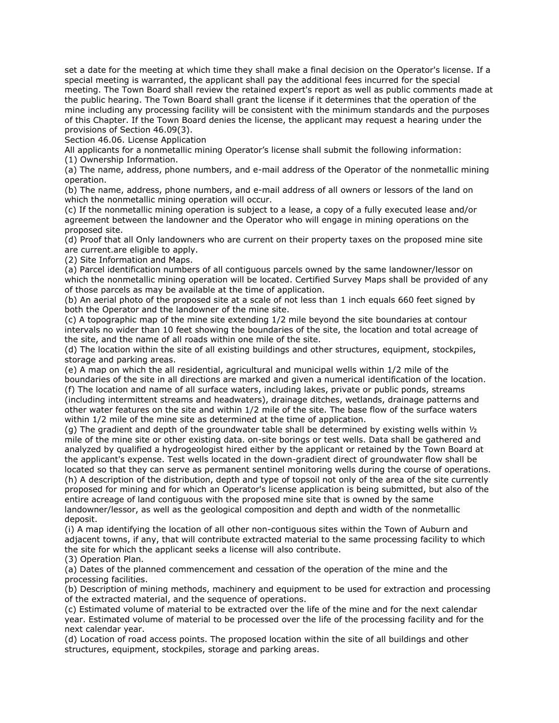set a date for the meeting at which time they shall make a final decision on the Operator's license. If a special meeting is warranted, the applicant shall pay the additional fees incurred for the special meeting. The Town Board shall review the retained expert's report as well as public comments made at the public hearing. The Town Board shall grant the license if it determines that the operation of the mine including any processing facility will be consistent with the minimum standards and the purposes of this Chapter. If the Town Board denies the license, the applicant may request a hearing under the provisions of Section 46.09(3).

Section 46.06. License Application

All applicants for a nonmetallic mining Operator's license shall submit the following information: (1) Ownership Information.

(a) The name, address, phone numbers, and e-mail address of the Operator of the nonmetallic mining operation.

(b) The name, address, phone numbers, and e-mail address of all owners or lessors of the land on which the nonmetallic mining operation will occur.

(c) If the nonmetallic mining operation is subject to a lease, a copy of a fully executed lease and/or agreement between the landowner and the Operator who will engage in mining operations on the proposed site.

(d) Proof that all Only landowners who are current on their property taxes on the proposed mine site are current.are eligible to apply.

(2) Site Information and Maps.

(a) Parcel identification numbers of all contiguous parcels owned by the same landowner/lessor on which the nonmetallic mining operation will be located. Certified Survey Maps shall be provided of any of those parcels as may be available at the time of application.

(b) An aerial photo of the proposed site at a scale of not less than 1 inch equals 660 feet signed by both the Operator and the landowner of the mine site.

(c) A topographic map of the mine site extending 1/2 mile beyond the site boundaries at contour intervals no wider than 10 feet showing the boundaries of the site, the location and total acreage of the site, and the name of all roads within one mile of the site.

(d) The location within the site of all existing buildings and other structures, equipment, stockpiles, storage and parking areas.

(e) A map on which the all residential, agricultural and municipal wells within 1/2 mile of the boundaries of the site in all directions are marked and given a numerical identification of the location. (f) The location and name of all surface waters, including lakes, private or public ponds, streams (including intermittent streams and headwaters), drainage ditches, wetlands, drainage patterns and other water features on the site and within 1/2 mile of the site. The base flow of the surface waters within 1/2 mile of the mine site as determined at the time of application.

(g) The gradient and depth of the groundwater table shall be determined by existing wells within  $\frac{1}{2}$ mile of the mine site or other existing data. on-site borings or test wells. Data shall be gathered and analyzed by qualified a hydrogeologist hired either by the applicant or retained by the Town Board at the applicant's expense. Test wells located in the down-gradient direct of groundwater flow shall be located so that they can serve as permanent sentinel monitoring wells during the course of operations. (h) A description of the distribution, depth and type of topsoil not only of the area of the site currently proposed for mining and for which an Operator's license application is being submitted, but also of the entire acreage of land contiguous with the proposed mine site that is owned by the same landowner/lessor, as well as the geological composition and depth and width of the nonmetallic deposit.

(i) A map identifying the location of all other non-contiguous sites within the Town of Auburn and adjacent towns, if any, that will contribute extracted material to the same processing facility to which the site for which the applicant seeks a license will also contribute.

(3) Operation Plan.

(a) Dates of the planned commencement and cessation of the operation of the mine and the processing facilities.

(b) Description of mining methods, machinery and equipment to be used for extraction and processing of the extracted material, and the sequence of operations.

(c) Estimated volume of material to be extracted over the life of the mine and for the next calendar year. Estimated volume of material to be processed over the life of the processing facility and for the next calendar year.

(d) Location of road access points. The proposed location within the site of all buildings and other structures, equipment, stockpiles, storage and parking areas.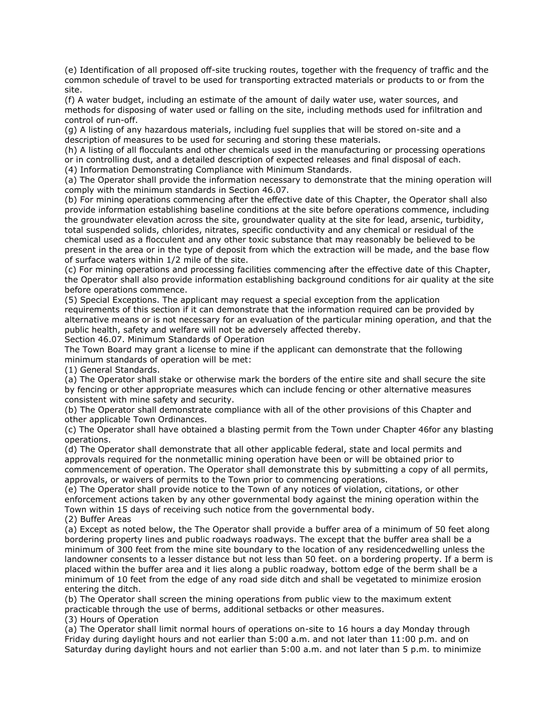(e) Identification of all proposed off-site trucking routes, together with the frequency of traffic and the common schedule of travel to be used for transporting extracted materials or products to or from the site.

(f) A water budget, including an estimate of the amount of daily water use, water sources, and methods for disposing of water used or falling on the site, including methods used for infiltration and control of run-off.

(g) A listing of any hazardous materials, including fuel supplies that will be stored on-site and a description of measures to be used for securing and storing these materials.

(h) A listing of all flocculants and other chemicals used in the manufacturing or processing operations or in controlling dust, and a detailed description of expected releases and final disposal of each.

(4) Information Demonstrating Compliance with Minimum Standards.

(a) The Operator shall provide the information necessary to demonstrate that the mining operation will comply with the minimum standards in Section 46.07.

(b) For mining operations commencing after the effective date of this Chapter, the Operator shall also provide information establishing baseline conditions at the site before operations commence, including the groundwater elevation across the site, groundwater quality at the site for lead, arsenic, turbidity, total suspended solids, chlorides, nitrates, specific conductivity and any chemical or residual of the chemical used as a flocculent and any other toxic substance that may reasonably be believed to be present in the area or in the type of deposit from which the extraction will be made, and the base flow of surface waters within 1/2 mile of the site.

(c) For mining operations and processing facilities commencing after the effective date of this Chapter, the Operator shall also provide information establishing background conditions for air quality at the site before operations commence.

(5) Special Exceptions. The applicant may request a special exception from the application requirements of this section if it can demonstrate that the information required can be provided by alternative means or is not necessary for an evaluation of the particular mining operation, and that the public health, safety and welfare will not be adversely affected thereby.

Section 46.07. Minimum Standards of Operation

The Town Board may grant a license to mine if the applicant can demonstrate that the following minimum standards of operation will be met:

(1) General Standards.

(a) The Operator shall stake or otherwise mark the borders of the entire site and shall secure the site by fencing or other appropriate measures which can include fencing or other alternative measures consistent with mine safety and security.

(b) The Operator shall demonstrate compliance with all of the other provisions of this Chapter and other applicable Town Ordinances.

(c) The Operator shall have obtained a blasting permit from the Town under Chapter 46for any blasting operations.

(d) The Operator shall demonstrate that all other applicable federal, state and local permits and approvals required for the nonmetallic mining operation have been or will be obtained prior to commencement of operation. The Operator shall demonstrate this by submitting a copy of all permits, approvals, or waivers of permits to the Town prior to commencing operations.

(e) The Operator shall provide notice to the Town of any notices of violation, citations, or other enforcement actions taken by any other governmental body against the mining operation within the Town within 15 days of receiving such notice from the governmental body.

(2) Buffer Areas

(a) Except as noted below, the The Operator shall provide a buffer area of a minimum of 50 feet along bordering property lines and public roadways roadways. The except that the buffer area shall be a minimum of 300 feet from the mine site boundary to the location of any residencedwelling unless the landowner consents to a lesser distance but not less than 50 feet. on a bordering property. If a berm is placed within the buffer area and it lies along a public roadway, bottom edge of the berm shall be a minimum of 10 feet from the edge of any road side ditch and shall be vegetated to minimize erosion entering the ditch.

(b) The Operator shall screen the mining operations from public view to the maximum extent practicable through the use of berms, additional setbacks or other measures.

(3) Hours of Operation

(a) The Operator shall limit normal hours of operations on-site to 16 hours a day Monday through Friday during daylight hours and not earlier than 5:00 a.m. and not later than 11:00 p.m. and on Saturday during daylight hours and not earlier than 5:00 a.m. and not later than 5 p.m. to minimize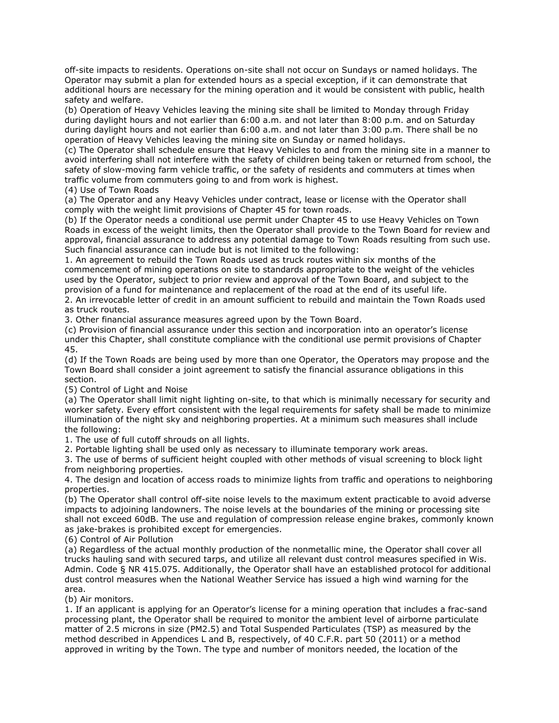off-site impacts to residents. Operations on-site shall not occur on Sundays or named holidays. The Operator may submit a plan for extended hours as a special exception, if it can demonstrate that additional hours are necessary for the mining operation and it would be consistent with public, health safety and welfare.

(b) Operation of Heavy Vehicles leaving the mining site shall be limited to Monday through Friday during daylight hours and not earlier than 6:00 a.m. and not later than 8:00 p.m. and on Saturday during daylight hours and not earlier than 6:00 a.m. and not later than 3:00 p.m. There shall be no operation of Heavy Vehicles leaving the mining site on Sunday or named holidays.

(c) The Operator shall schedule ensure that Heavy Vehicles to and from the mining site in a manner to avoid interfering shall not interfere with the safety of children being taken or returned from school, the safety of slow-moving farm vehicle traffic, or the safety of residents and commuters at times when traffic volume from commuters going to and from work is highest.

(4) Use of Town Roads

(a) The Operator and any Heavy Vehicles under contract, lease or license with the Operator shall comply with the weight limit provisions of Chapter 45 for town roads.

(b) If the Operator needs a conditional use permit under Chapter 45 to use Heavy Vehicles on Town Roads in excess of the weight limits, then the Operator shall provide to the Town Board for review and approval, financial assurance to address any potential damage to Town Roads resulting from such use. Such financial assurance can include but is not limited to the following:

1. An agreement to rebuild the Town Roads used as truck routes within six months of the commencement of mining operations on site to standards appropriate to the weight of the vehicles used by the Operator, subject to prior review and approval of the Town Board, and subject to the provision of a fund for maintenance and replacement of the road at the end of its useful life.

2. An irrevocable letter of credit in an amount sufficient to rebuild and maintain the Town Roads used as truck routes.

3. Other financial assurance measures agreed upon by the Town Board.

(c) Provision of financial assurance under this section and incorporation into an operator's license under this Chapter, shall constitute compliance with the conditional use permit provisions of Chapter 45.

(d) If the Town Roads are being used by more than one Operator, the Operators may propose and the Town Board shall consider a joint agreement to satisfy the financial assurance obligations in this section.

(5) Control of Light and Noise

(a) The Operator shall limit night lighting on-site, to that which is minimally necessary for security and worker safety. Every effort consistent with the legal requirements for safety shall be made to minimize illumination of the night sky and neighboring properties. At a minimum such measures shall include the following:

1. The use of full cutoff shrouds on all lights.

2. Portable lighting shall be used only as necessary to illuminate temporary work areas.

3. The use of berms of sufficient height coupled with other methods of visual screening to block light from neighboring properties.

4. The design and location of access roads to minimize lights from traffic and operations to neighboring properties.

(b) The Operator shall control off-site noise levels to the maximum extent practicable to avoid adverse impacts to adjoining landowners. The noise levels at the boundaries of the mining or processing site shall not exceed 60dB. The use and regulation of compression release engine brakes, commonly known as jake-brakes is prohibited except for emergencies.

(6) Control of Air Pollution

(a) Regardless of the actual monthly production of the nonmetallic mine, the Operator shall cover all trucks hauling sand with secured tarps, and utilize all relevant dust control measures specified in Wis. Admin. Code § NR 415.075. Additionally, the Operator shall have an established protocol for additional dust control measures when the National Weather Service has issued a high wind warning for the area.

(b) Air monitors.

1. If an applicant is applying for an Operator's license for a mining operation that includes a frac-sand processing plant, the Operator shall be required to monitor the ambient level of airborne particulate matter of 2.5 microns in size (PM2.5) and Total Suspended Particulates (TSP) as measured by the method described in Appendices L and B, respectively, of 40 C.F.R. part 50 (2011) or a method approved in writing by the Town. The type and number of monitors needed, the location of the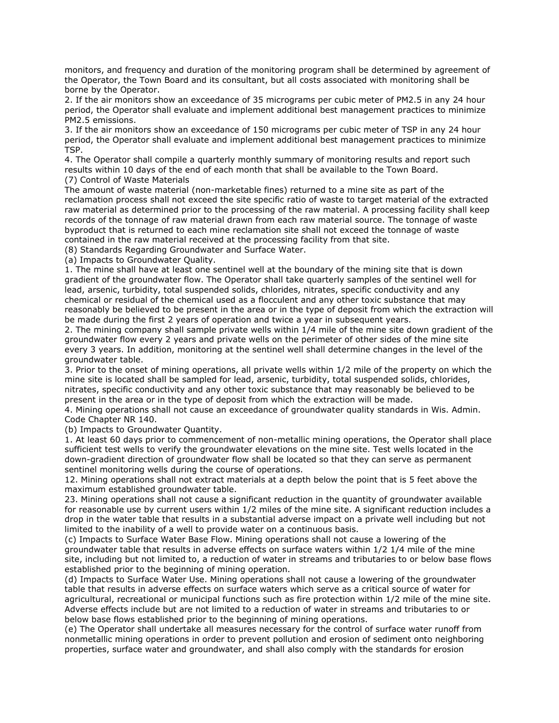monitors, and frequency and duration of the monitoring program shall be determined by agreement of the Operator, the Town Board and its consultant, but all costs associated with monitoring shall be borne by the Operator.

2. If the air monitors show an exceedance of 35 micrograms per cubic meter of PM2.5 in any 24 hour period, the Operator shall evaluate and implement additional best management practices to minimize PM2.5 emissions.

3. If the air monitors show an exceedance of 150 micrograms per cubic meter of TSP in any 24 hour period, the Operator shall evaluate and implement additional best management practices to minimize TSP.

4. The Operator shall compile a quarterly monthly summary of monitoring results and report such results within 10 days of the end of each month that shall be available to the Town Board. (7) Control of Waste Materials

The amount of waste material (non-marketable fines) returned to a mine site as part of the reclamation process shall not exceed the site specific ratio of waste to target material of the extracted raw material as determined prior to the processing of the raw material. A processing facility shall keep records of the tonnage of raw material drawn from each raw material source. The tonnage of waste byproduct that is returned to each mine reclamation site shall not exceed the tonnage of waste contained in the raw material received at the processing facility from that site.

(8) Standards Regarding Groundwater and Surface Water.

(a) Impacts to Groundwater Quality.

1. The mine shall have at least one sentinel well at the boundary of the mining site that is down gradient of the groundwater flow. The Operator shall take quarterly samples of the sentinel well for lead, arsenic, turbidity, total suspended solids, chlorides, nitrates, specific conductivity and any chemical or residual of the chemical used as a flocculent and any other toxic substance that may reasonably be believed to be present in the area or in the type of deposit from which the extraction will be made during the first 2 years of operation and twice a year in subsequent years.

2. The mining company shall sample private wells within 1/4 mile of the mine site down gradient of the groundwater flow every 2 years and private wells on the perimeter of other sides of the mine site every 3 years. In addition, monitoring at the sentinel well shall determine changes in the level of the groundwater table.

3. Prior to the onset of mining operations, all private wells within 1/2 mile of the property on which the mine site is located shall be sampled for lead, arsenic, turbidity, total suspended solids, chlorides, nitrates, specific conductivity and any other toxic substance that may reasonably be believed to be present in the area or in the type of deposit from which the extraction will be made.

4. Mining operations shall not cause an exceedance of groundwater quality standards in Wis. Admin. Code Chapter NR 140.

(b) Impacts to Groundwater Quantity.

1. At least 60 days prior to commencement of non-metallic mining operations, the Operator shall place sufficient test wells to verify the groundwater elevations on the mine site. Test wells located in the down-gradient direction of groundwater flow shall be located so that they can serve as permanent sentinel monitoring wells during the course of operations.

12. Mining operations shall not extract materials at a depth below the point that is 5 feet above the maximum established groundwater table.

23. Mining operations shall not cause a significant reduction in the quantity of groundwater available for reasonable use by current users within 1/2 miles of the mine site. A significant reduction includes a drop in the water table that results in a substantial adverse impact on a private well including but not limited to the inability of a well to provide water on a continuous basis.

(c) Impacts to Surface Water Base Flow. Mining operations shall not cause a lowering of the groundwater table that results in adverse effects on surface waters within 1/2 1/4 mile of the mine site, including but not limited to, a reduction of water in streams and tributaries to or below base flows established prior to the beginning of mining operation.

(d) Impacts to Surface Water Use. Mining operations shall not cause a lowering of the groundwater table that results in adverse effects on surface waters which serve as a critical source of water for agricultural, recreational or municipal functions such as fire protection within 1/2 mile of the mine site. Adverse effects include but are not limited to a reduction of water in streams and tributaries to or below base flows established prior to the beginning of mining operations.

(e) The Operator shall undertake all measures necessary for the control of surface water runoff from nonmetallic mining operations in order to prevent pollution and erosion of sediment onto neighboring properties, surface water and groundwater, and shall also comply with the standards for erosion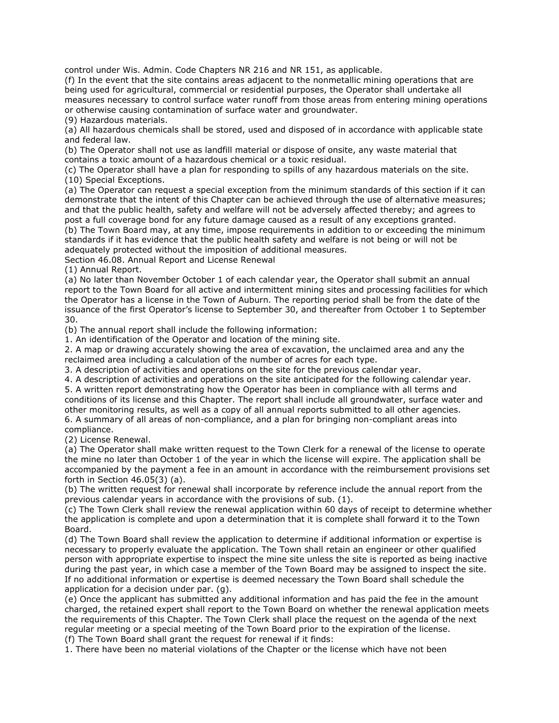control under Wis. Admin. Code Chapters NR 216 and NR 151, as applicable.

(f) In the event that the site contains areas adjacent to the nonmetallic mining operations that are being used for agricultural, commercial or residential purposes, the Operator shall undertake all measures necessary to control surface water runoff from those areas from entering mining operations or otherwise causing contamination of surface water and groundwater.

(9) Hazardous materials.

(a) All hazardous chemicals shall be stored, used and disposed of in accordance with applicable state and federal law.

(b) The Operator shall not use as landfill material or dispose of onsite, any waste material that contains a toxic amount of a hazardous chemical or a toxic residual.

(c) The Operator shall have a plan for responding to spills of any hazardous materials on the site. (10) Special Exceptions.

(a) The Operator can request a special exception from the minimum standards of this section if it can demonstrate that the intent of this Chapter can be achieved through the use of alternative measures; and that the public health, safety and welfare will not be adversely affected thereby; and agrees to post a full coverage bond for any future damage caused as a result of any exceptions granted.

(b) The Town Board may, at any time, impose requirements in addition to or exceeding the minimum standards if it has evidence that the public health safety and welfare is not being or will not be adequately protected without the imposition of additional measures.

Section 46.08. Annual Report and License Renewal

(1) Annual Report.

(a) No later than November October 1 of each calendar year, the Operator shall submit an annual report to the Town Board for all active and intermittent mining sites and processing facilities for which the Operator has a license in the Town of Auburn. The reporting period shall be from the date of the issuance of the first Operator's license to September 30, and thereafter from October 1 to September 30.

(b) The annual report shall include the following information:

1. An identification of the Operator and location of the mining site.

2. A map or drawing accurately showing the area of excavation, the unclaimed area and any the reclaimed area including a calculation of the number of acres for each type.

3. A description of activities and operations on the site for the previous calendar year.

4. A description of activities and operations on the site anticipated for the following calendar year.

5. A written report demonstrating how the Operator has been in compliance with all terms and conditions of its license and this Chapter. The report shall include all groundwater, surface water and other monitoring results, as well as a copy of all annual reports submitted to all other agencies. 6. A summary of all areas of non-compliance, and a plan for bringing non-compliant areas into

compliance.

(2) License Renewal.

(a) The Operator shall make written request to the Town Clerk for a renewal of the license to operate the mine no later than October 1 of the year in which the license will expire. The application shall be accompanied by the payment a fee in an amount in accordance with the reimbursement provisions set forth in Section 46.05(3) (a).

(b) The written request for renewal shall incorporate by reference include the annual report from the previous calendar years in accordance with the provisions of sub. (1).

(c) The Town Clerk shall review the renewal application within 60 days of receipt to determine whether the application is complete and upon a determination that it is complete shall forward it to the Town Board.

(d) The Town Board shall review the application to determine if additional information or expertise is necessary to properly evaluate the application. The Town shall retain an engineer or other qualified person with appropriate expertise to inspect the mine site unless the site is reported as being inactive during the past year, in which case a member of the Town Board may be assigned to inspect the site. If no additional information or expertise is deemed necessary the Town Board shall schedule the application for a decision under par. (g).

(e) Once the applicant has submitted any additional information and has paid the fee in the amount charged, the retained expert shall report to the Town Board on whether the renewal application meets the requirements of this Chapter. The Town Clerk shall place the request on the agenda of the next regular meeting or a special meeting of the Town Board prior to the expiration of the license. (f) The Town Board shall grant the request for renewal if it finds:

1. There have been no material violations of the Chapter or the license which have not been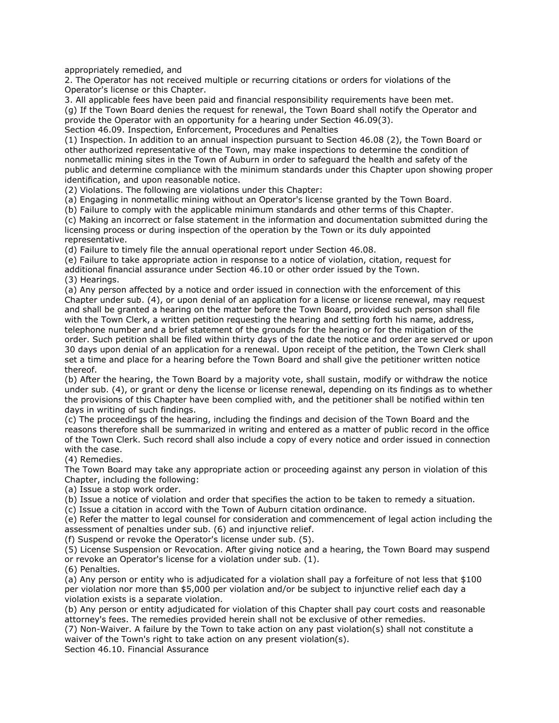appropriately remedied, and

2. The Operator has not received multiple or recurring citations or orders for violations of the Operator's license or this Chapter.

3. All applicable fees have been paid and financial responsibility requirements have been met. (g) If the Town Board denies the request for renewal, the Town Board shall notify the Operator and provide the Operator with an opportunity for a hearing under Section 46.09(3). Section 46.09. Inspection, Enforcement, Procedures and Penalties

(1) Inspection. In addition to an annual inspection pursuant to Section 46.08 (2), the Town Board or other authorized representative of the Town, may make inspections to determine the condition of nonmetallic mining sites in the Town of Auburn in order to safeguard the health and safety of the public and determine compliance with the minimum standards under this Chapter upon showing proper identification, and upon reasonable notice.

(2) Violations. The following are violations under this Chapter:

(a) Engaging in nonmetallic mining without an Operator's license granted by the Town Board.

(b) Failure to comply with the applicable minimum standards and other terms of this Chapter.

(c) Making an incorrect or false statement in the information and documentation submitted during the licensing process or during inspection of the operation by the Town or its duly appointed representative.

(d) Failure to timely file the annual operational report under Section 46.08.

(e) Failure to take appropriate action in response to a notice of violation, citation, request for additional financial assurance under Section 46.10 or other order issued by the Town.

(3) Hearings.

(a) Any person affected by a notice and order issued in connection with the enforcement of this Chapter under sub. (4), or upon denial of an application for a license or license renewal, may request and shall be granted a hearing on the matter before the Town Board, provided such person shall file with the Town Clerk, a written petition requesting the hearing and setting forth his name, address, telephone number and a brief statement of the grounds for the hearing or for the mitigation of the order. Such petition shall be filed within thirty days of the date the notice and order are served or upon 30 days upon denial of an application for a renewal. Upon receipt of the petition, the Town Clerk shall set a time and place for a hearing before the Town Board and shall give the petitioner written notice thereof.

(b) After the hearing, the Town Board by a majority vote, shall sustain, modify or withdraw the notice under sub. (4), or grant or deny the license or license renewal, depending on its findings as to whether the provisions of this Chapter have been complied with, and the petitioner shall be notified within ten days in writing of such findings.

(c) The proceedings of the hearing, including the findings and decision of the Town Board and the reasons therefore shall be summarized in writing and entered as a matter of public record in the office of the Town Clerk. Such record shall also include a copy of every notice and order issued in connection with the case.

(4) Remedies.

The Town Board may take any appropriate action or proceeding against any person in violation of this Chapter, including the following:

(a) Issue a stop work order.

(b) Issue a notice of violation and order that specifies the action to be taken to remedy a situation.

(c) Issue a citation in accord with the Town of Auburn citation ordinance.

(e) Refer the matter to legal counsel for consideration and commencement of legal action including the assessment of penalties under sub. (6) and injunctive relief.

(f) Suspend or revoke the Operator's license under sub. (5).

(5) License Suspension or Revocation. After giving notice and a hearing, the Town Board may suspend or revoke an Operator's license for a violation under sub. (1).

(6) Penalties.

(a) Any person or entity who is adjudicated for a violation shall pay a forfeiture of not less that \$100 per violation nor more than \$5,000 per violation and/or be subject to injunctive relief each day a violation exists is a separate violation.

(b) Any person or entity adjudicated for violation of this Chapter shall pay court costs and reasonable attorney's fees. The remedies provided herein shall not be exclusive of other remedies.

(7) Non-Waiver. A failure by the Town to take action on any past violation(s) shall not constitute a waiver of the Town's right to take action on any present violation(s).

Section 46.10. Financial Assurance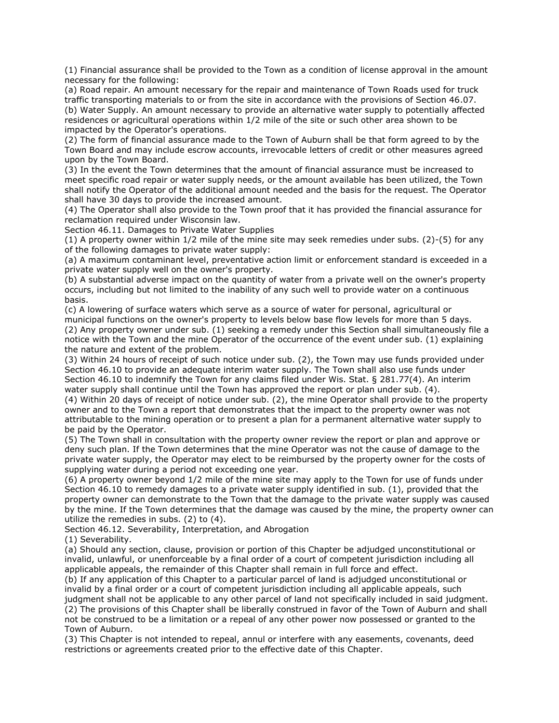(1) Financial assurance shall be provided to the Town as a condition of license approval in the amount necessary for the following:

(a) Road repair. An amount necessary for the repair and maintenance of Town Roads used for truck traffic transporting materials to or from the site in accordance with the provisions of Section 46.07. (b) Water Supply. An amount necessary to provide an alternative water supply to potentially affected residences or agricultural operations within 1/2 mile of the site or such other area shown to be impacted by the Operator's operations.

(2) The form of financial assurance made to the Town of Auburn shall be that form agreed to by the Town Board and may include escrow accounts, irrevocable letters of credit or other measures agreed upon by the Town Board.

(3) In the event the Town determines that the amount of financial assurance must be increased to meet specific road repair or water supply needs, or the amount available has been utilized, the Town shall notify the Operator of the additional amount needed and the basis for the request. The Operator shall have 30 days to provide the increased amount.

(4) The Operator shall also provide to the Town proof that it has provided the financial assurance for reclamation required under Wisconsin law.

Section 46.11. Damages to Private Water Supplies

(1) A property owner within 1/2 mile of the mine site may seek remedies under subs. (2)-(5) for any of the following damages to private water supply:

(a) A maximum contaminant level, preventative action limit or enforcement standard is exceeded in a private water supply well on the owner's property.

(b) A substantial adverse impact on the quantity of water from a private well on the owner's property occurs, including but not limited to the inability of any such well to provide water on a continuous basis.

(c) A lowering of surface waters which serve as a source of water for personal, agricultural or municipal functions on the owner's property to levels below base flow levels for more than 5 days. (2) Any property owner under sub. (1) seeking a remedy under this Section shall simultaneously file a notice with the Town and the mine Operator of the occurrence of the event under sub. (1) explaining the nature and extent of the problem.

(3) Within 24 hours of receipt of such notice under sub. (2), the Town may use funds provided under Section 46.10 to provide an adequate interim water supply. The Town shall also use funds under Section 46.10 to indemnify the Town for any claims filed under Wis. Stat. § 281.77(4). An interim water supply shall continue until the Town has approved the report or plan under sub. (4).

(4) Within 20 days of receipt of notice under sub. (2), the mine Operator shall provide to the property owner and to the Town a report that demonstrates that the impact to the property owner was not attributable to the mining operation or to present a plan for a permanent alternative water supply to be paid by the Operator.

(5) The Town shall in consultation with the property owner review the report or plan and approve or deny such plan. If the Town determines that the mine Operator was not the cause of damage to the private water supply, the Operator may elect to be reimbursed by the property owner for the costs of supplying water during a period not exceeding one year.

(6) A property owner beyond 1/2 mile of the mine site may apply to the Town for use of funds under Section 46.10 to remedy damages to a private water supply identified in sub. (1), provided that the property owner can demonstrate to the Town that the damage to the private water supply was caused by the mine. If the Town determines that the damage was caused by the mine, the property owner can utilize the remedies in subs. (2) to (4).

Section 46.12. Severability, Interpretation, and Abrogation

(1) Severability.

(a) Should any section, clause, provision or portion of this Chapter be adjudged unconstitutional or invalid, unlawful, or unenforceable by a final order of a court of competent jurisdiction including all applicable appeals, the remainder of this Chapter shall remain in full force and effect.

(b) If any application of this Chapter to a particular parcel of land is adjudged unconstitutional or invalid by a final order or a court of competent jurisdiction including all applicable appeals, such judgment shall not be applicable to any other parcel of land not specifically included in said judgment. (2) The provisions of this Chapter shall be liberally construed in favor of the Town of Auburn and shall not be construed to be a limitation or a repeal of any other power now possessed or granted to the Town of Auburn.

(3) This Chapter is not intended to repeal, annul or interfere with any easements, covenants, deed restrictions or agreements created prior to the effective date of this Chapter.